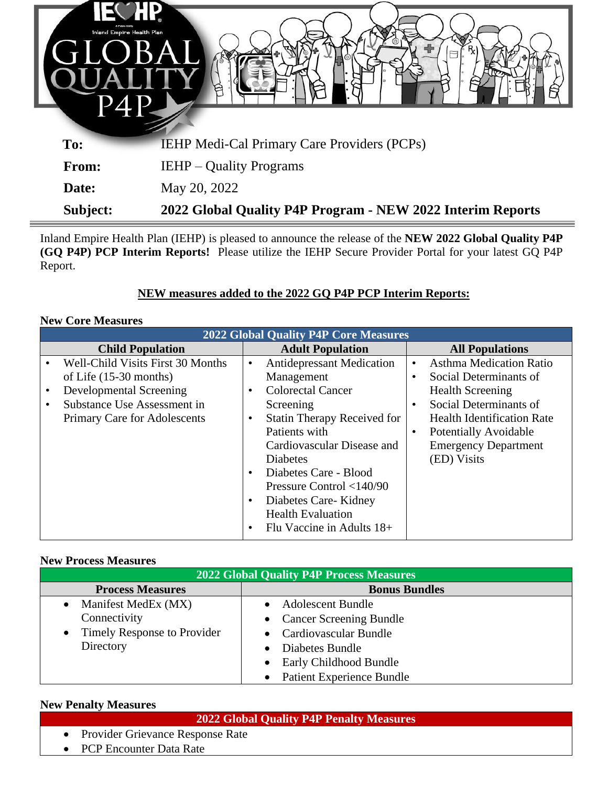| <b>TECHP</b><br>Inland Empire Health Plan<br><b>Gil</b><br>$\blacksquare$ | B                                                          |
|---------------------------------------------------------------------------|------------------------------------------------------------|
|                                                                           |                                                            |
| To:                                                                       | <b>IEHP Medi-Cal Primary Care Providers (PCPs)</b>         |
| From:                                                                     | <b>IEHP</b> – Quality Programs                             |
| Date:                                                                     | May 20, 2022                                               |
| Subject:                                                                  | 2022 Global Quality P4P Program - NEW 2022 Interim Reports |

Inland Empire Health Plan (IEHP) is pleased to announce the release of the **NEW 2022 Global Quality P4P (GQ P4P) PCP Interim Reports!** Please utilize the IEHP Secure Provider Portal for your latest GQ P4P Report.

# **NEW measures added to the 2022 GQ P4P PCP Interim Reports:**

#### **New Core Measures**

| <b>2022 Global Quality P4P Core Measures</b> |                                          |                         |                                    |                        |                                   |  |  |
|----------------------------------------------|------------------------------------------|-------------------------|------------------------------------|------------------------|-----------------------------------|--|--|
| <b>Child Population</b>                      |                                          | <b>Adult Population</b> |                                    | <b>All Populations</b> |                                   |  |  |
|                                              | <b>Well-Child Visits First 30 Months</b> | $\bullet$               | <b>Antidepressant Medication</b>   | $\bullet$              | <b>Asthma Medication Ratio</b>    |  |  |
|                                              | of Life $(15-30$ months)                 |                         | Management                         | $\bullet$              | Social Determinants of            |  |  |
|                                              | Developmental Screening                  | $\bullet$               | <b>Colorectal Cancer</b>           |                        | <b>Health Screening</b>           |  |  |
|                                              | Substance Use Assessment in              |                         | Screening                          | $\bullet$              | Social Determinants of            |  |  |
|                                              | Primary Care for Adolescents             | $\bullet$               | <b>Statin Therapy Received for</b> |                        | <b>Health Identification Rate</b> |  |  |
|                                              |                                          |                         | Patients with                      | $\bullet$              | <b>Potentially Avoidable</b>      |  |  |
|                                              |                                          |                         | Cardiovascular Disease and         |                        | <b>Emergency Department</b>       |  |  |
|                                              |                                          |                         | <b>Diabetes</b>                    |                        | (ED) Visits                       |  |  |
|                                              |                                          | $\bullet$               | Diabetes Care - Blood              |                        |                                   |  |  |
|                                              |                                          |                         | Pressure Control $<$ 140/90        |                        |                                   |  |  |
|                                              |                                          | $\bullet$               | Diabetes Care-Kidney               |                        |                                   |  |  |
|                                              |                                          |                         | <b>Health Evaluation</b>           |                        |                                   |  |  |
|                                              |                                          | $\bullet$               | Flu Vaccine in Adults 18+          |                        |                                   |  |  |

#### **New Process Measures**

| 2022 Global Quality P4P Process Measures |                                               |  |  |  |  |  |
|------------------------------------------|-----------------------------------------------|--|--|--|--|--|
| <b>Process Measures</b>                  | <b>Bonus Bundles</b>                          |  |  |  |  |  |
| Manifest MedEx (MX)<br>$\bullet$         | <b>Adolescent Bundle</b>                      |  |  |  |  |  |
| Connectivity                             | • Cancer Screening Bundle                     |  |  |  |  |  |
| <b>Timely Response to Provider</b>       | • Cardiovascular Bundle                       |  |  |  |  |  |
| Directory                                | Diabetes Bundle<br>$\bullet$                  |  |  |  |  |  |
|                                          | • Early Childhood Bundle                      |  |  |  |  |  |
|                                          | <b>Patient Experience Bundle</b><br>$\bullet$ |  |  |  |  |  |

#### **New Penalty Measures**

### **2022 Global Quality P4P Penalty Measures**

- Provider Grievance Response Rate
- PCP Encounter Data Rate